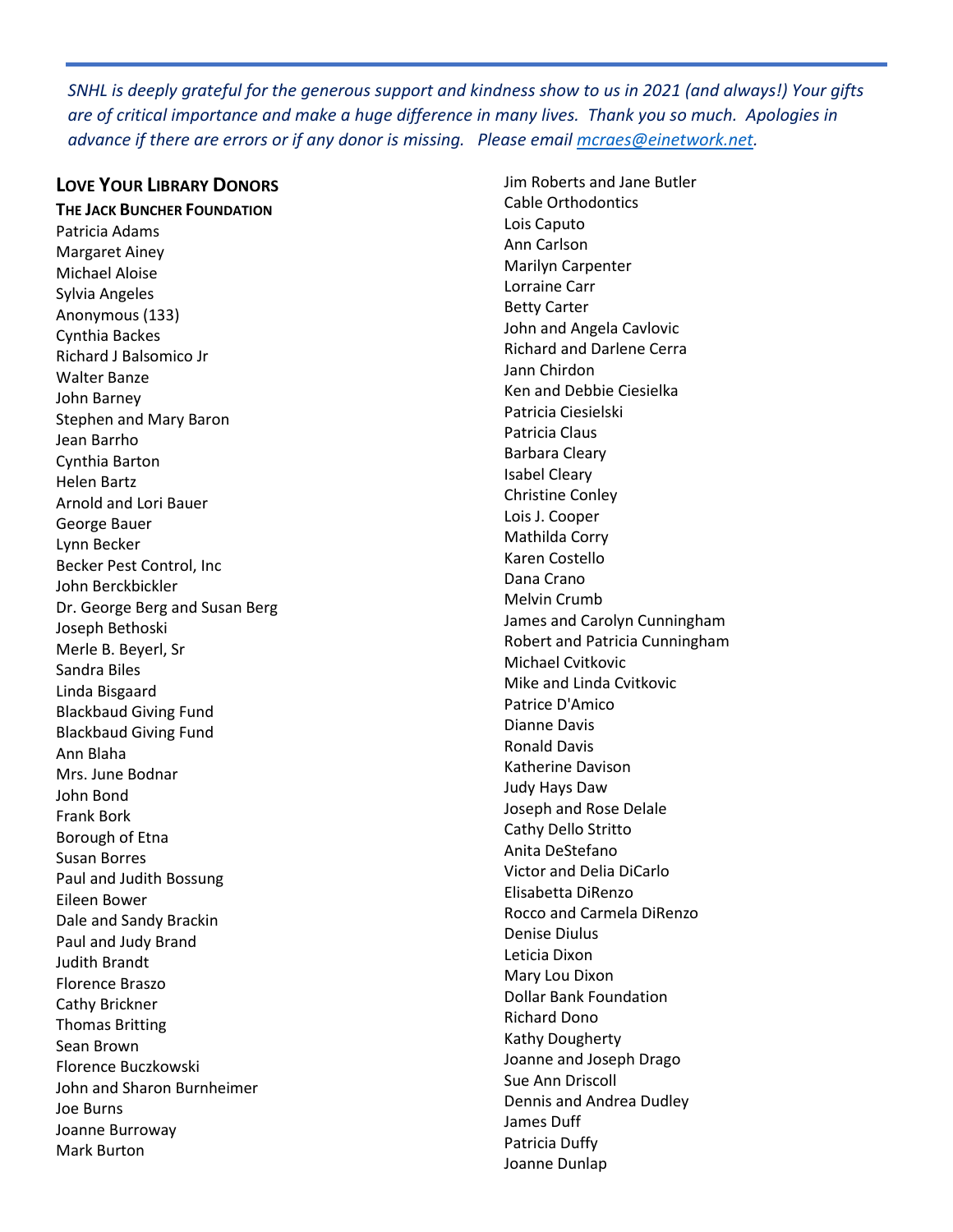*SNHL is deeply grateful for the generous support and kindness show to us in 2021 (and always!) Your gifts are of critical importance and make a huge difference in many lives. Thank you so much. Apologies in advance if there are errors or if any donor is missing. Please email [mcraes@einetwork.net.](mailto:mcraes@einetwork.net)* 

### **LOVE YOUR LIBRARY DONORS**

**THE JACK BUNCHER FOUNDATION**  Patricia Adams Margaret Ainey Michael Aloise Sylvia Angeles Anonymous (133) Cynthia Backes Richard J Balsomico Jr Walter Banze John Barney Stephen and Mary Baron Jean Barrho Cynthia Barton Helen Bartz Arnold and Lori Bauer George Bauer Lynn Becker Becker Pest Control, Inc John Berckbickler Dr. George Berg and Susan Berg Joseph Bethoski Merle B. Beyerl, Sr Sandra Biles Linda Bisgaard Blackbaud Giving Fund Blackbaud Giving Fund Ann Blaha Mrs. June Bodnar John Bond Frank Bork Borough of Etna Susan Borres Paul and Judith Bossung Eileen Bower Dale and Sandy Brackin Paul and Judy Brand Judith Brandt Florence Braszo Cathy Brickner Thomas Britting Sean Brown Florence Buczkowski John and Sharon Burnheimer Joe Burns Joanne Burroway Mark Burton

Jim Roberts and Jane Butler Cable Orthodontics Lois Caputo Ann Carlson Marilyn Carpenter Lorraine Carr Betty Carter John and Angela Cavlovic Richard and Darlene Cerra Jann Chirdon Ken and Debbie Ciesielka Patricia Ciesielski Patricia Claus Barbara Cleary Isabel Cleary Christine Conley Lois J. Cooper Mathilda Corry Karen Costello Dana Crano Melvin Crumb James and Carolyn Cunningham Robert and Patricia Cunningham Michael Cvitkovic Mike and Linda Cvitkovic Patrice D'Amico Dianne Davis Ronald Davis Katherine Davison Judy Hays Daw Joseph and Rose Delale Cathy Dello Stritto Anita DeStefano Victor and Delia DiCarlo Elisabetta DiRenzo Rocco and Carmela DiRenzo Denise Diulus Leticia Dixon Mary Lou Dixon Dollar Bank Foundation Richard Dono Kathy Dougherty Joanne and Joseph Drago Sue Ann Driscoll Dennis and Andrea Dudley James Duff Patricia Duffy Joanne Dunlap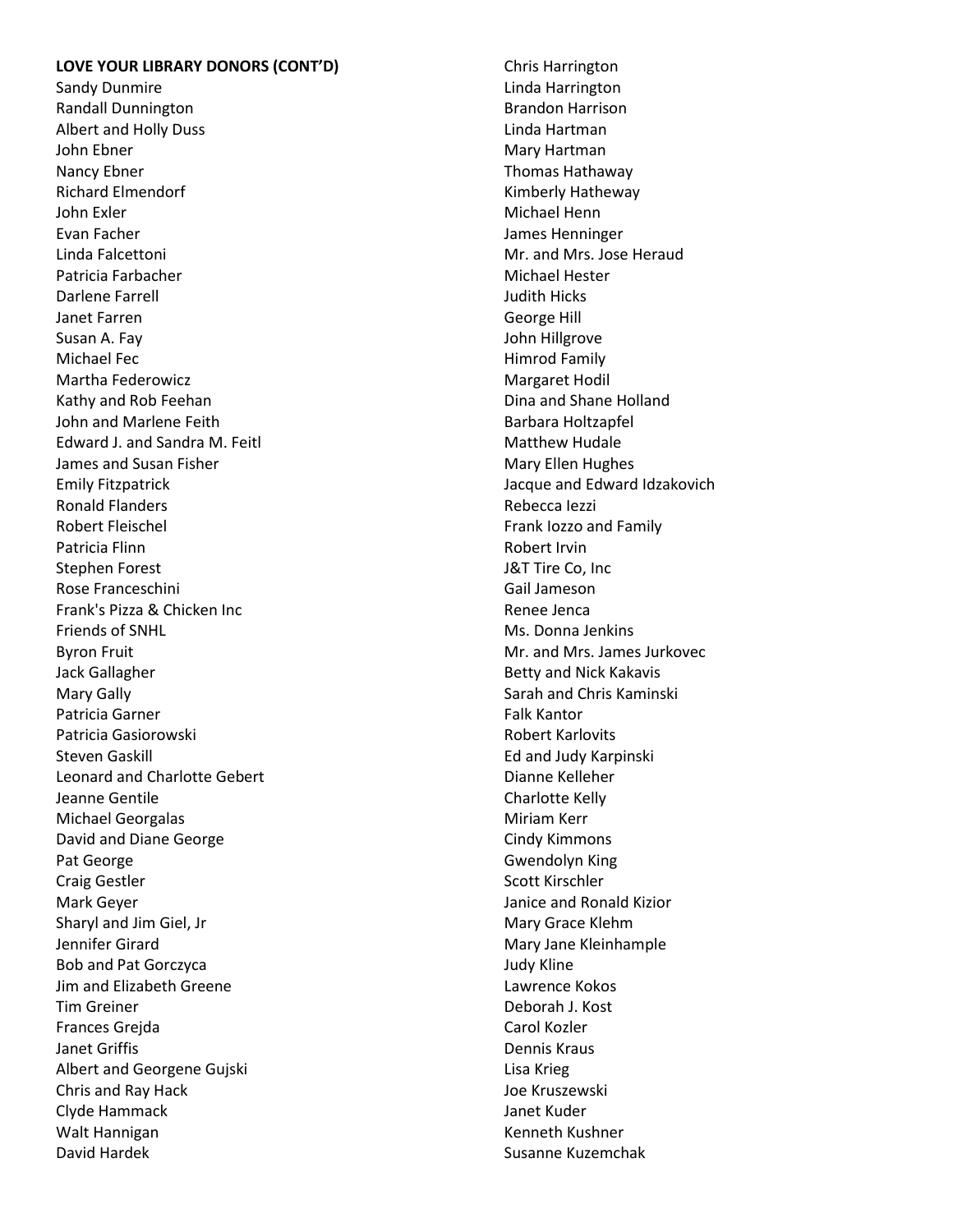#### **LOVE YOUR LIBRARY DONORS (CONT'D)**

Sandy Dunmire Randall Dunnington Albert and Holly Duss John Ebner Nancy Ebner Richard Elmendorf John Exler Evan Facher Linda Falcettoni Patricia Farbacher Darlene Farrell Janet Farren Susan A. Fay Michael Fec Martha Federowicz Kathy and Rob Feehan John and Marlene Feith Edward J. and Sandra M. Feitl James and Susan Fisher Emily Fitzpatrick Ronald Flanders Robert Fleischel Patricia Flinn Stephen Forest Rose Franceschini Frank's Pizza & Chicken Inc Friends of SNHL Byron Fruit Jack Gallagher Mary Gally Patricia Garner Patricia Gasiorowski Steven Gaskill Leonard and Charlotte Gebert Jeanne Gentile Michael Georgalas David and Diane George Pat George Craig Gestler Mark Geyer Sharyl and Jim Giel, Jr Jennifer Girard Bob and Pat Gorczyca Jim and Elizabeth Greene Tim Greiner Frances Grejda Janet Griffis Albert and Georgene Gujski Chris and Ray Hack Clyde Hammack Walt Hannigan David Hardek

Chris Harrington Linda Harrington Brandon Harrison Linda Hartman Mary Hartman Thomas Hathaway Kimberly Hatheway Michael Henn James Henninger Mr. and Mrs. Jose Heraud Michael Hester Judith Hicks George Hill John Hillgrove Himrod Family Margaret Hodil Dina and Shane Holland Barbara Holtzapfel Matthew Hudale Mary Ellen Hughes Jacque and Edward Idzakovich Rebecca Iezzi Frank Iozzo and Family Robert Irvin J&T Tire Co, Inc Gail Jameson Renee Jenca Ms. Donna Jenkins Mr. and Mrs. James Jurkovec Betty and Nick Kakavis Sarah and Chris Kaminski Falk Kantor Robert Karlovits Ed and Judy Karpinski Dianne Kelleher Charlotte Kelly Miriam Kerr Cindy Kimmons Gwendolyn King Scott Kirschler Janice and Ronald Kizior Mary Grace Klehm Mary Jane Kleinhample Judy Kline Lawrence Kokos Deborah J. Kost Carol Kozler Dennis Kraus Lisa Krieg Joe Kruszewski Janet Kuder Kenneth Kushner

Susanne Kuzemchak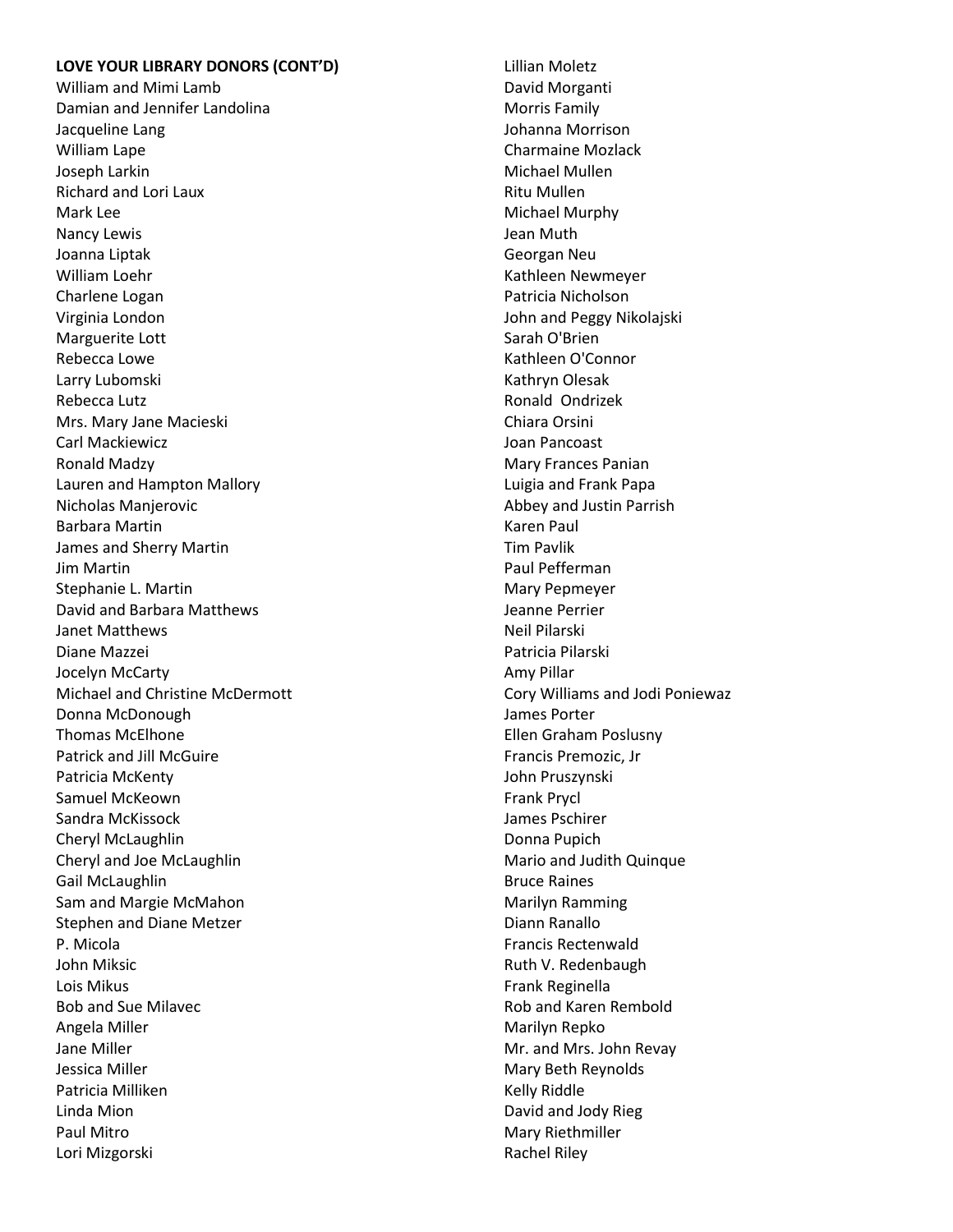#### **LOVE YOUR LIBRARY DONORS (CONT'D)**

William and Mimi Lamb Damian and Jennifer Landolina Jacqueline Lang William Lape Joseph Larkin Richard and Lori Laux Mark Lee Nancy Lewis Joanna Liptak William Loehr Charlene Logan Virginia London Marguerite Lott Rebecca Lowe Larry Lubomski Rebecca Lutz Mrs. Mary Jane Macieski Carl Mackiewicz Ronald Madzy Lauren and Hampton Mallory Nicholas Manjerovic Barbara Martin James and Sherry Martin Jim Martin Stephanie L. Martin David and Barbara Matthews Janet Matthews Diane Mazzei Jocelyn McCarty Michael and Christine McDermott Donna McDonough Thomas McElhone Patrick and Jill McGuire Patricia McKenty Samuel McKeown Sandra McKissock Cheryl McLaughlin Cheryl and Joe McLaughlin Gail McLaughlin Sam and Margie McMahon Stephen and Diane Metzer P. Micola John Miksic Lois Mikus Bob and Sue Milavec Angela Miller Jane Miller Jessica Miller Patricia Milliken Linda Mion Paul Mitro Lori Mizgorski

Lillian Moletz David Morganti Morris Family Johanna Morrison Charmaine Mozlack Michael Mullen Ritu Mullen Michael Murphy Jean Muth Georgan Neu Kathleen Newmeyer Patricia Nicholson John and Peggy Nikolajski Sarah O'Brien Kathleen O'Connor Kathryn Olesak Ronald Ondrizek Chiara Orsini Joan Pancoast Mary Frances Panian Luigia and Frank Papa Abbey and Justin Parrish Karen Paul Tim Pavlik Paul Pefferman Mary Pepmeyer Jeanne Perrier Neil Pilarski Patricia Pilarski Amy Pillar Cory Williams and Jodi Poniewaz James Porter Ellen Graham Poslusny Francis Premozic, Jr John Pruszynski Frank Prycl James Pschirer Donna Pupich Mario and Judith Quinque Bruce Raines Marilyn Ramming Diann Ranallo Francis Rectenwald Ruth V. Redenbaugh Frank Reginella Rob and Karen Rembold Marilyn Repko Mr. and Mrs. John Revay Mary Beth Reynolds Kelly Riddle David and Jody Rieg Mary Riethmiller Rachel Riley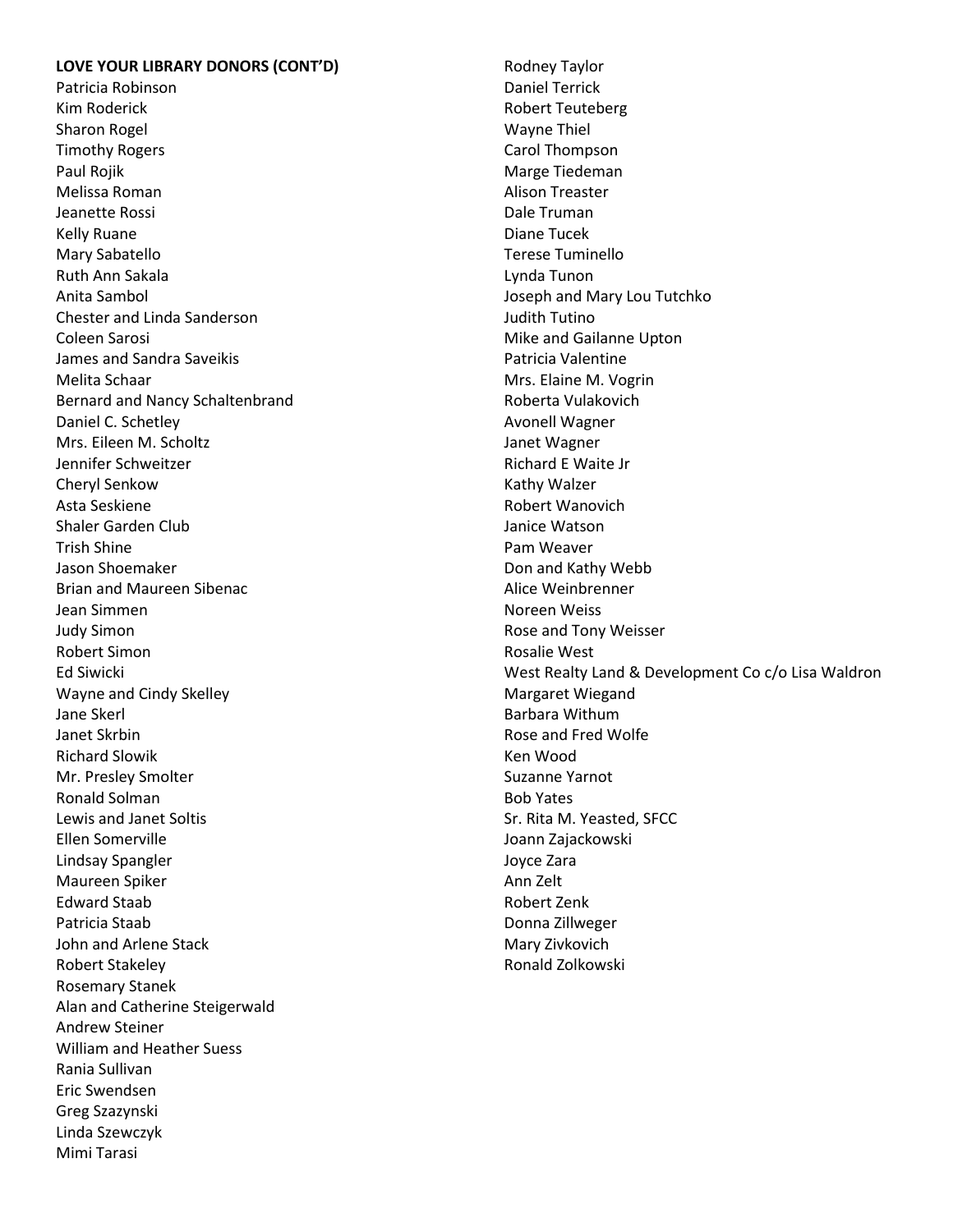#### **LOVE YOUR LIBRARY DONORS (CONT'D)**

Patricia Robinson Kim Roderick Sharon Rogel Timothy Rogers Paul Rojik Melissa Roman Jeanette Rossi Kelly Ruane Mary Sabatello Ruth Ann Sakala Anita Sambol Chester and Linda Sanderson Coleen Sarosi James and Sandra Saveikis Melita Schaar Bernard and Nancy Schaltenbrand Daniel C. Schetley Mrs. Eileen M. Scholtz Jennifer Schweitzer Cheryl Senkow Asta Seskiene Shaler Garden Club Trish Shine Jason Shoemaker Brian and Maureen Sibenac Jean Simmen Judy Simon Robert Simon Ed Siwicki Wayne and Cindy Skelley Jane Skerl Janet Skrbin Richard Slowik Mr. Presley Smolter Ronald Solman Lewis and Janet Soltis Ellen Somerville Lindsay Spangler Maureen Spiker Edward Staab Patricia Staab John and Arlene Stack Robert Stakeley Rosemary Stanek Alan and Catherine Steigerwald Andrew Steiner William and Heather Suess Rania Sullivan Eric Swendsen Greg Szazynski Linda Szewczyk Mimi Tarasi

Rodney Taylor Daniel Terrick Robert Teuteberg Wayne Thiel Carol Thompson Marge Tiedeman Alison Treaster Dale Truman Diane Tucek Terese Tuminello Lynda Tunon Joseph and Mary Lou Tutchko Judith Tutino Mike and Gailanne Upton Patricia Valentine Mrs. Elaine M. Vogrin Roberta Vulakovich Avonell Wagner Janet Wagner Richard E Waite Jr Kathy Walzer Robert Wanovich Janice Watson Pam Weaver Don and Kathy Webb Alice Weinbrenner Noreen Weiss Rose and Tony Weisser Rosalie West West Realty Land & Development Co c/o Lisa Waldron Margaret Wiegand Barbara Withum Rose and Fred Wolfe Ken Wood Suzanne Yarnot Bob Yates Sr. Rita M. Yeasted, SFCC Joann Zajackowski Joyce Zara Ann Zelt Robert Zenk Donna Zillweger Mary Zivkovich Ronald Zolkowski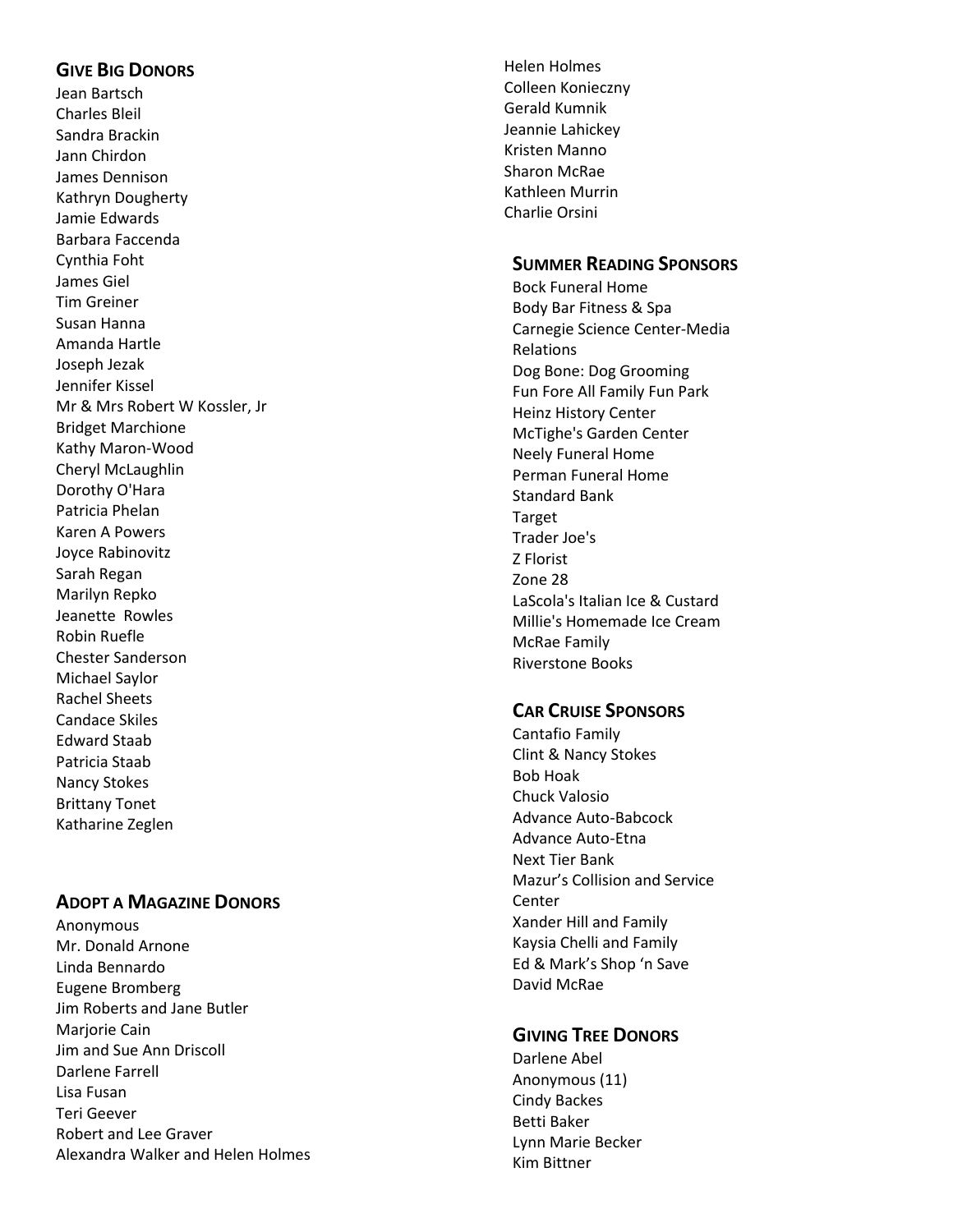# **G IVE BIG DONORS**

Jean Bartsch Charles Bleil Sandra Brackin Jann Chirdon James Dennison Kathryn Dougherty Jamie Edwards Barbara Faccenda Cynthia Foht James Giel Tim Greiner Susan Hanna Amanda Hartle Joseph Jezak Jennifer Kissel Mr & Mrs Robert W Kossler, Jr Bridget Marchione Kathy Maron -Wood Cheryl McLaughlin Dorothy O'Hara Patricia Phelan Karen A Powers Joyce Rabinovitz Sarah Regan Marilyn Repko Jeanette Rowles Robin Ruefle Chester Sanderson Michael Saylor Rachel Sheets Candace Skiles Edward Staab Patricia Staab Nancy Stokes Brittany Tonet Katharine Zeglen

# **ADOPT A MAGAZINE DONORS**

Anonymous Mr. Donald Arnone Linda Bennardo Eugene Bromberg Jim Roberts and Jane Butler Marjorie Cain Jim and Sue Ann Driscoll Darlene Farrell Lisa Fusan Teri Geever Robert and Lee Graver Alexandra Walker and Helen Holmes

Helen Holmes Colleen Konieczny Gerald Kumnik Jeannie Lahickey Kristen Manno Sharon McRae Kathleen Murrin Charlie Orsini

# **SUMMER READING SPONSORS**

Bock Funeral Home Body Bar Fitness & Spa Carnegie Science Center -Media Relations Dog Bone: Dog Grooming Fun Fore All Family Fun Park Heinz History Center McTighe's Garden Center Neely Funeral Home Perman Funeral Home Standard Bank Target Trader Joe's Z Florist Zone 28 LaScola's Italian Ice & Custard Millie's Homemade Ice Cream McRae Family Riverstone Books

### **CAR CRUISE SPONSORS**

Cantafio Family Clint & Nancy Stokes Bob Hoak Chuck Valosio Advance Auto -Babcock Advance Auto -Etna Next Tier Bank Mazur's Collision and Service Center Xander Hill and Family Kaysia Chelli and Family Ed & Mark's Shop 'n Save David McRae

# **GIVING TREE DONORS**

Darlene Abel Anonymous (11) Cindy Backes Betti Baker Lynn Marie Becker Kim Bittner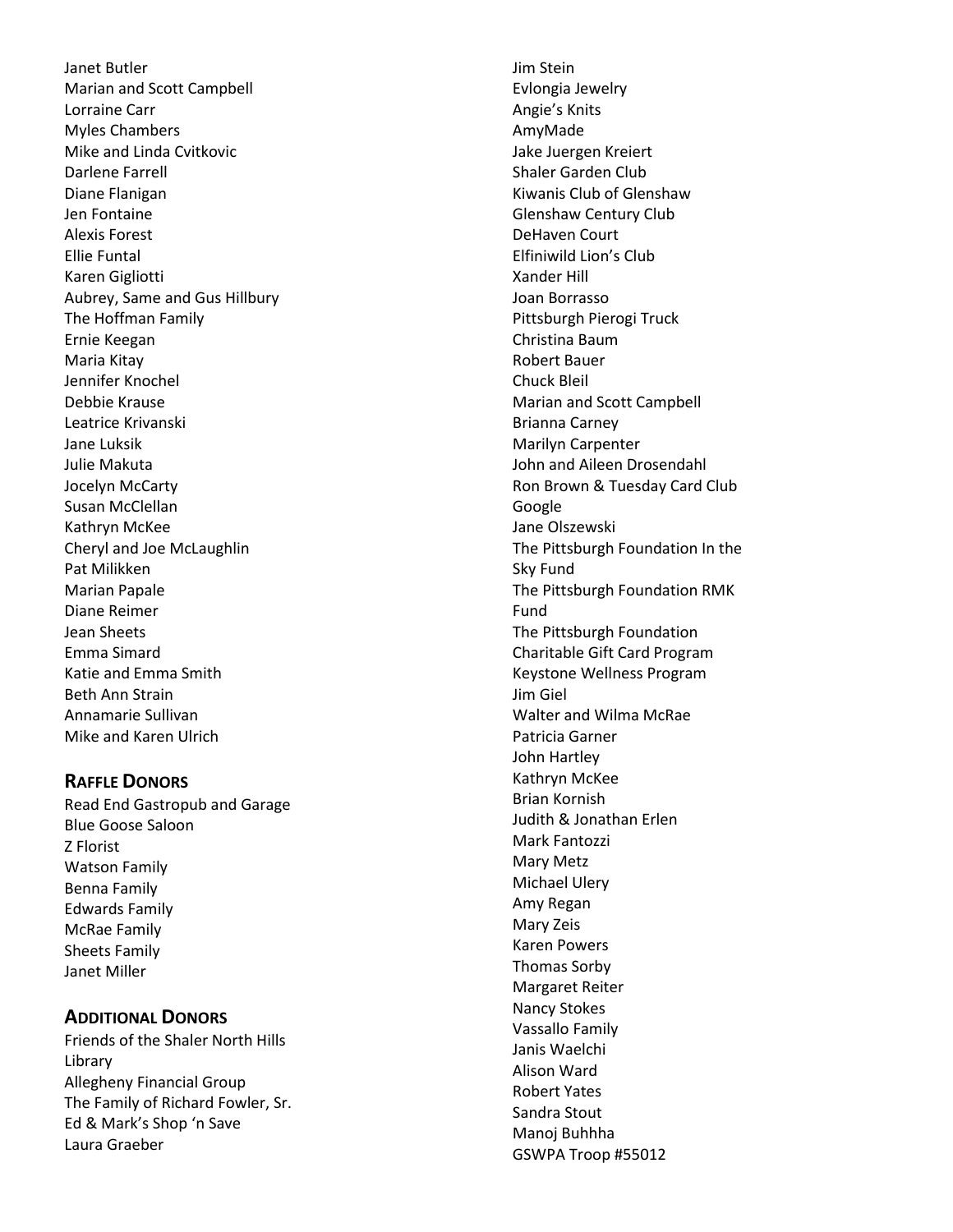Janet Butler Marian and Scott Campbell Lorraine Carr Myles Chambers Mike and Linda Cvitkovic Darlene Farrell Diane Flanigan Jen Fontaine Alexis Forest Ellie Funtal Karen Gigliotti Aubrey, Same and Gus Hillbury The Hoffman Family Ernie Keegan Maria Kitay Jennifer Knochel Debbie Krause Leatrice Krivanski Jane Luksik Julie Makuta Jocelyn McCarty Susan McClellan Kathryn McKee Cheryl and Joe McLaughlin Pat Milikken Marian Papale Diane Reimer Jean Sheets Emma Simard Katie and Emma Smith Beth Ann Strain Annamarie Sullivan Mike and Karen Ulrich

# **RAFFLE DONORS**

Read End Gastropub and Garage Blue Goose Saloon Z Florist Watson Family Benna Family Edwards Family McRae Family Sheets Family Janet Miller

# **ADDITIONAL DONORS**

Friends of the Shaler North Hills Library Allegheny Financial Group The Family of Richard Fowler, Sr. Ed & Mark's Shop 'n Save Laura Graeber

Jim Stein Evlongia Jewelry Angie's Knits AmyMade Jake Juergen Kreiert Shaler Garden Club Kiwanis Club of Glenshaw Glenshaw Century Club DeHaven Court Elfiniwild Lion's Club Xander Hill Joan Borrasso Pittsburgh Pierogi Truck Christina Baum Robert Bauer Chuck Bleil Marian and Scott Campbell Brianna Carney Marilyn Carpenter John and Aileen Drosendahl Ron Brown & Tuesday Card Club Google Jane Olszewski The Pittsburgh Foundation In the Sky Fund The Pittsburgh Foundation RMK Fund The Pittsburgh Foundation Charitable Gift Card Program Keystone Wellness Program Jim Giel Walter and Wilma McRae Patricia Garner John Hartley Kathryn McKee Brian Kornish Judith & Jonathan E rlen Mark Fantozzi Mary Metz Michael Ulery Amy Regan Mary Zeis Karen Powers Thomas Sorby Margaret Reiter Nancy Stokes Vassallo Family Janis Waelchi Alison Ward Robert Yates Sandra Stout Manoj Buhhha GSWPA Troop #55012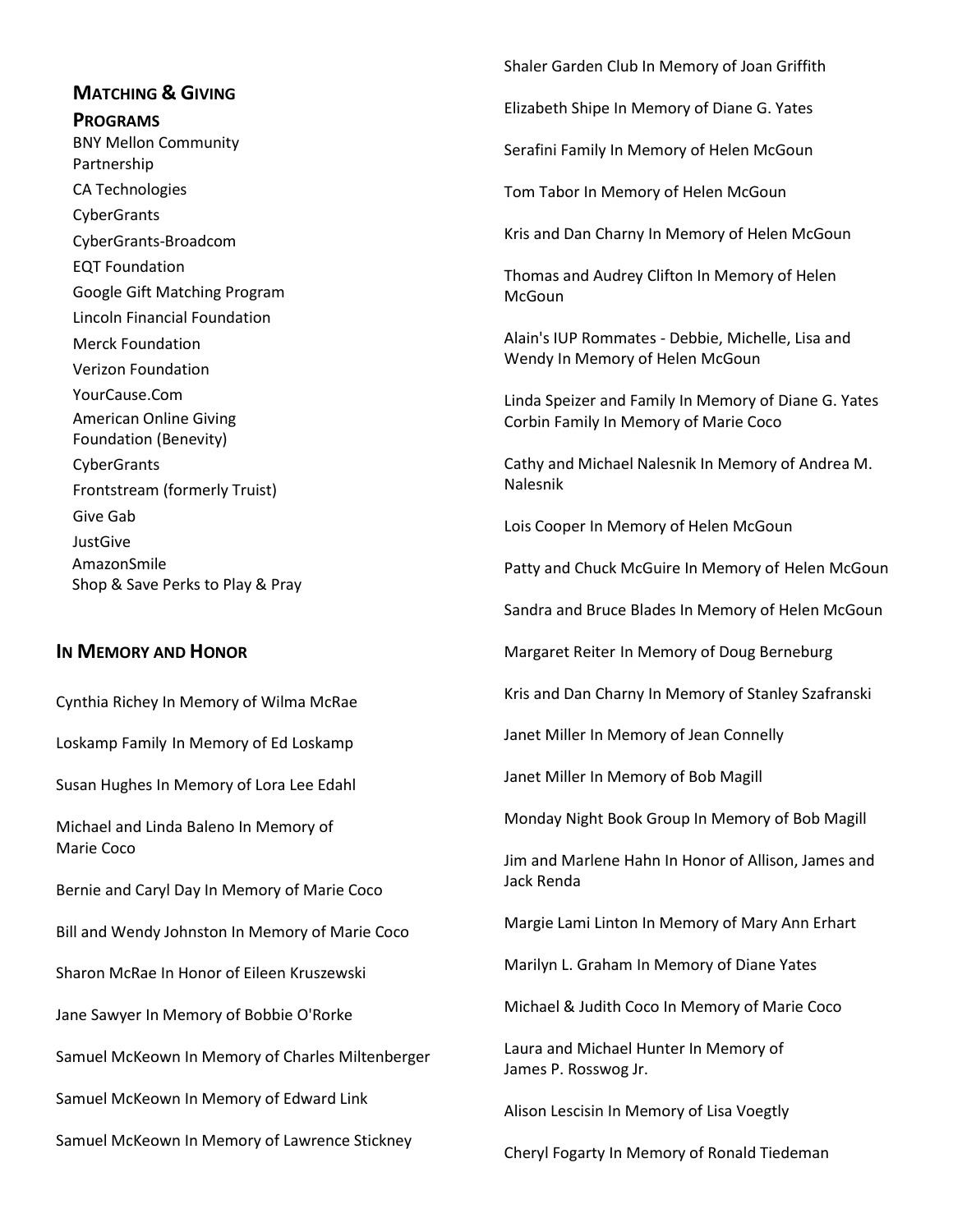# **MATCHING & GIVING PROGRAMS** BNY Mellon Community Partnership CA Technologies **CyberGrants** CyberGrants-Broadcom EQT Foundation Google Gift Matching Program Lincoln Financial Foundation Merck Foundation Verizon Foundation YourCause.Com American Online Giving Foundation (Benevity)

**CyberGrants** Frontstream (formerly Truist) Give Gab JustGive AmazonSmile Shop & Save Perks to Play & Pray

# **IN MEMORY AND HONOR**

Cynthia Richey In Memory of Wilma McRae

Loskamp Family In Memory of Ed Loskamp

Susan Hughes In Memory of Lora Lee Edahl

Michael and Linda Baleno In Memory of Marie Coco

Bernie and Caryl Day In Memory of Marie Coco

Bill and Wendy Johnston In Memory of Marie Coco

Sharon McRae In Honor of Eileen Kruszewski

Jane Sawyer In Memory of Bobbie O'Rorke

Samuel McKeown In Memory of Charles Miltenberger

Samuel McKeown In Memory of Edward Link

Samuel McKeown In Memory of Lawrence Stickney

Shaler Garden Club In Memory of Joan Griffith

Elizabeth Shipe In Memory of Diane G. Yates

Serafini Family In Memory of Helen McGoun

Tom Tabor In Memory of Helen McGoun

Kris and Dan Charny In Memory of Helen McGoun

Thomas and Audrey Clifton In Memory of Helen McGoun

Alain's IUP Rommates - Debbie, Michelle, Lisa and Wendy In Memory of Helen McGoun

Linda Speizer and Family In Memory of Diane G. Yates Corbin Family In Memory of Marie Coco

Cathy and Michael Nalesnik In Memory of Andrea M. Nalesnik

Lois Cooper In Memory of Helen McGoun

Patty and Chuck McGuire In Memory of Helen McGoun

Sandra and Bruce Blades In Memory of Helen McGoun

Margaret Reiter In Memory of Doug Berneburg

Kris and Dan Charny In Memory of Stanley Szafranski

Janet Miller In Memory of Jean Connelly

Janet Miller In Memory of Bob Magill

Monday Night Book Group In Memory of Bob Magill

Jim and Marlene Hahn In Honor of Allison, James and Jack Renda

Margie Lami Linton In Memory of Mary Ann Erhart

Marilyn L. Graham In Memory of Diane Yates

Michael & Judith Coco In Memory of Marie Coco

Laura and Michael Hunter In Memory of James P. Rosswog Jr.

Alison Lescisin In Memory of Lisa Voegtly

Cheryl Fogarty In Memory of Ronald Tiedeman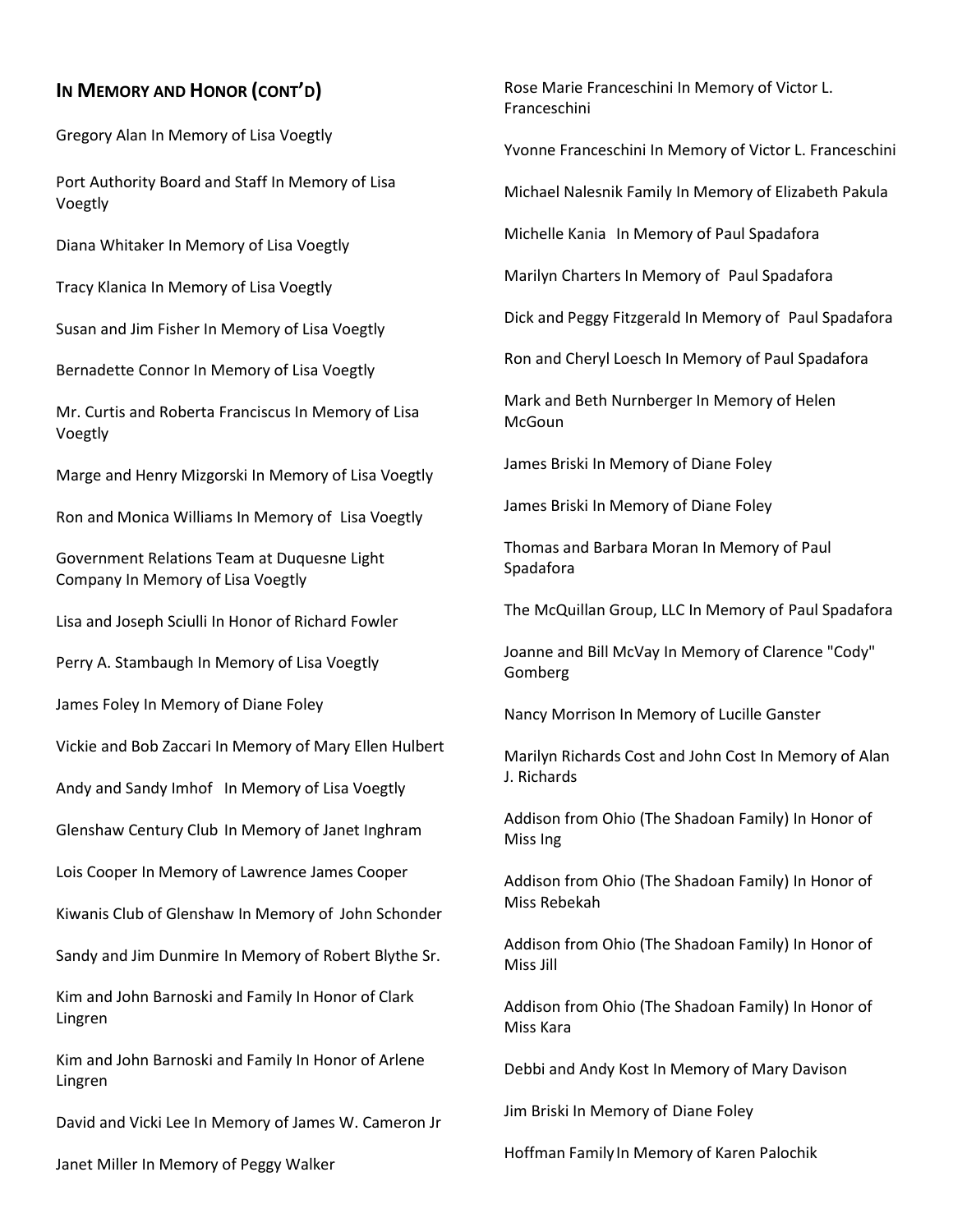# **IN MEMORY AND HONOR (CONT'D)**

Gregory Alan In Memory of Lisa Voegtly

Port Authority Board and Staff In Memory of Lisa Voegtly

Diana Whitaker In Memory of Lisa Voegtly

Tracy Klanica In Memory of Lisa Voegtly

Susan and Jim Fisher In Memory of Lisa Voegtly

Bernadette Connor In Memory of Lisa Voegtly

Mr. Curtis and Roberta Franciscus In Memory of Lisa Voegtly

Marge and Henry Mizgorski In Memory of Lisa Voegtly

Ron and Monica Williams In Memory of Lisa Voegtly

Government Relations Team at Duquesne Light Company In Memory of Lisa Voegtly

Lisa and Joseph Sciulli In Honor of Richard Fowler

Perry A. Stambaugh In Memory of Lisa Voegtly

James Foley In Memory of Diane Foley

Vickie and Bob Zaccari In Memory of Mary Ellen Hulbert

Andy and Sandy Imhof In Memory of Lisa Voegtly

Glenshaw Century Club In Memory of Janet Inghram

Lois Cooper In Memory of Lawrence James Cooper

Kiwanis Club of Glenshaw In Memory of John Schonder

Sandy and Jim Dunmire In Memory of Robert Blythe Sr.

Kim and John Barnoski and Family In Honor of Clark Lingren

Kim and John Barnoski and Family In Honor of Arlene Lingren

David and Vicki Lee In Memory of James W. Cameron Jr

Janet Miller In Memory of Peggy Walker

Rose Marie Franceschini In Memory of Victor L. Franceschini

Yvonne Franceschini In Memory of Victor L. Franceschini

Michael Nalesnik Family In Memory of Elizabeth Pakula

Michelle Kania In Memory of Paul Spadafora

Marilyn Charters In Memory of Paul Spadafora

Dick and Peggy Fitzgerald In Memory of Paul Spadafora

Ron and Cheryl Loesch In Memory of Paul Spadafora

Mark and Beth Nurnberger In Memory of Helen **McGoun** 

James Briski In Memory of Diane Foley

James Briski In Memory of Diane Foley

Thomas and Barbara Moran In Memory of Paul Spadafora

The McQuillan Group, LLC In Memory of Paul Spadafora

Joanne and Bill McVay In Memory of Clarence "Cody" Gomberg

Nancy Morrison In Memory of Lucille Ganster

Marilyn Richards Cost and John Cost In Memory of Alan J. Richards

Addison from Ohio (The Shadoan Family) In Honor of Miss Ing

Addison from Ohio (The Shadoan Family) In Honor of Miss Rebekah

Addison from Ohio (The Shadoan Family) In Honor of Miss Jill

Addison from Ohio (The Shadoan Family) In Honor of Miss Kara

Debbi and Andy Kost In Memory of Mary Davison

Jim Briski In Memory of Diane Foley

Hoffman FamilyIn Memory of Karen Palochik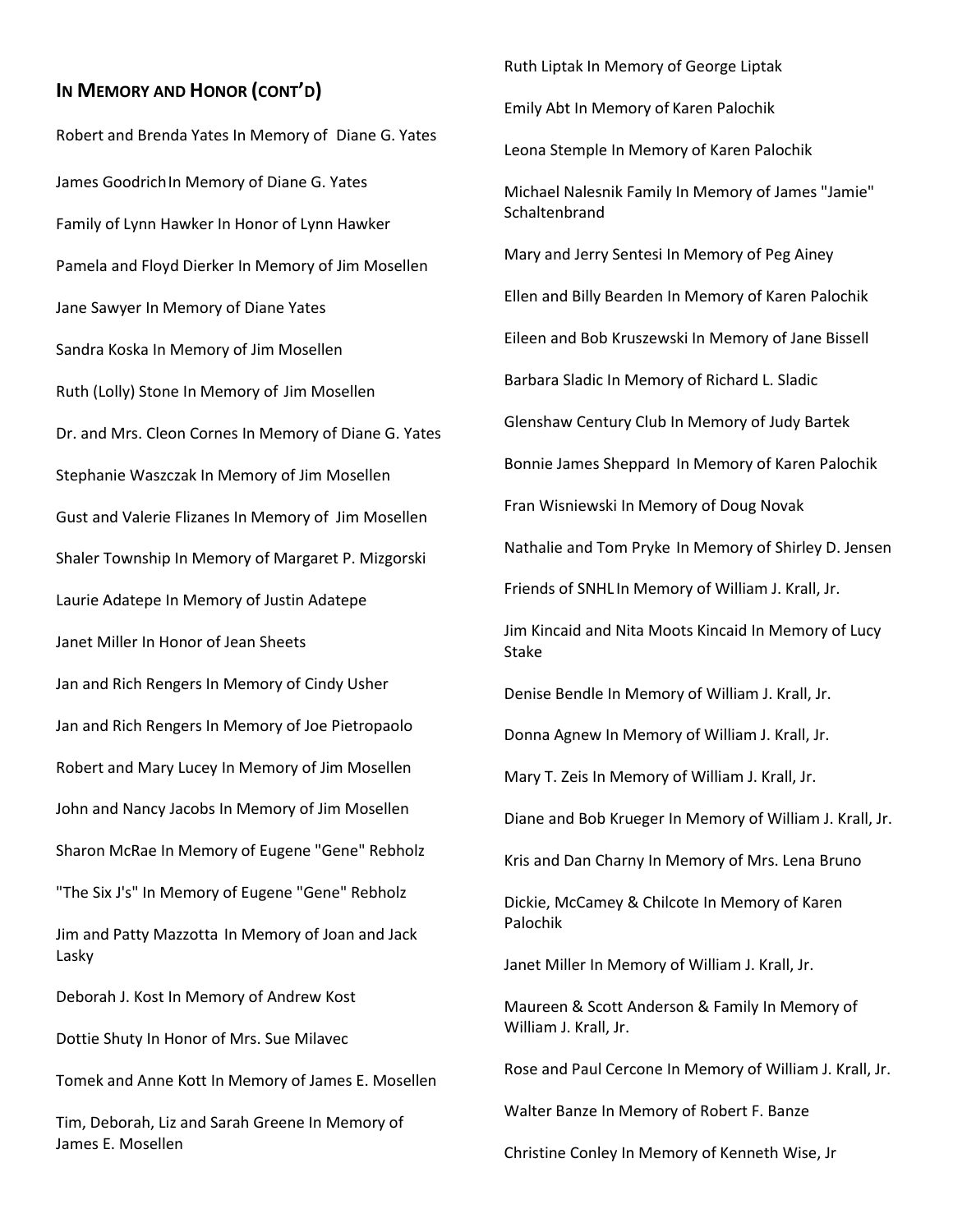### **IN MEMORY AND HONOR (CONT'D)**

Robert and Brenda Yates In Memory of Diane G. Yates James GoodrichIn Memory of Diane G. Yates Family of Lynn Hawker In Honor of Lynn Hawker Pamela and Floyd Dierker In Memory of Jim Mosellen Jane Sawyer In Memory of Diane Yates Sandra Koska In Memory of Jim Mosellen Ruth (Lolly) Stone In Memory of Jim Mosellen Dr. and Mrs. Cleon Cornes In Memory of Diane G. Yates Stephanie Waszczak In Memory of Jim Mosellen Gust and Valerie Flizanes In Memory of Jim Mosellen Shaler Township In Memory of Margaret P. Mizgorski Laurie Adatepe In Memory of Justin Adatepe Janet Miller In Honor of Jean Sheets Jan and Rich Rengers In Memory of Cindy Usher Jan and Rich Rengers In Memory of Joe Pietropaolo Robert and Mary Lucey In Memory of Jim Mosellen John and Nancy Jacobs In Memory of Jim Mosellen Sharon McRae In Memory of Eugene "Gene" Rebholz "The Six J's" In Memory of Eugene "Gene" Rebholz Jim and Patty Mazzotta In Memory of Joan and Jack Lasky Deborah J. Kost In Memory of Andrew Kost Dottie Shuty In Honor of Mrs. Sue Milavec Tomek and Anne Kott In Memory of James E. Mosellen Tim, Deborah, Liz and Sarah Greene In Memory of James E. Mosellen

Emily Abt In Memory of Karen Palochik Leona Stemple In Memory of Karen Palochik Michael Nalesnik Family In Memory of James "Jamie" **Schaltenbrand** Mary and Jerry Sentesi In Memory of Peg Ainey Ellen and Billy Bearden In Memory of Karen Palochik Eileen and Bob Kruszewski In Memory of Jane Bissell Barbara Sladic In Memory of Richard L. Sladic Glenshaw Century Club In Memory of Judy Bartek Bonnie James Sheppard In Memory of Karen Palochik Fran Wisniewski In Memory of Doug Novak Nathalie and Tom Pryke In Memory of Shirley D. Jensen Friends of SNHL In Memory of William J. Krall, Jr. Jim Kincaid and Nita Moots Kincaid In Memory of Lucy Stake Denise Bendle In Memory of William J. Krall, Jr. Donna Agnew In Memory of William J. Krall, Jr. Mary T. Zeis In Memory of William J. Krall, Jr. Diane and Bob Krueger In Memory of William J. Krall, Jr. Kris and Dan Charny In Memory of Mrs. Lena Bruno Dickie, McCamey & Chilcote In Memory of Karen Palochik Janet Miller In Memory of William J. Krall, Jr. Maureen & Scott Anderson & Family In Memory of William J. Krall, Jr. Rose and Paul Cercone In Memory of William J. Krall, Jr.

Ruth Liptak In Memory of George Liptak

Walter Banze In Memory of Robert F. Banze

Christine Conley In Memory of Kenneth Wise, Jr